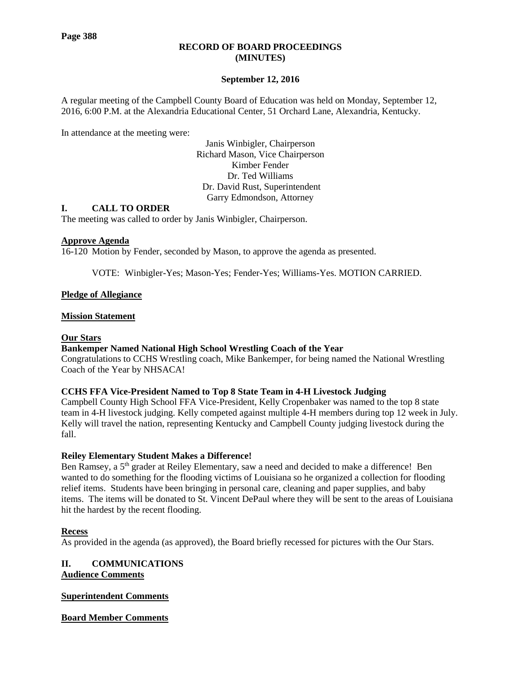#### **RECORD OF BOARD PROCEEDINGS (MINUTES)**

## **September 12, 2016**

A regular meeting of the Campbell County Board of Education was held on Monday, September 12, 2016, 6:00 P.M. at the Alexandria Educational Center, 51 Orchard Lane, Alexandria, Kentucky.

In attendance at the meeting were:

Janis Winbigler, Chairperson Richard Mason, Vice Chairperson Kimber Fender Dr. Ted Williams Dr. David Rust, Superintendent Garry Edmondson, Attorney

#### **I. CALL TO ORDER**

The meeting was called to order by Janis Winbigler, Chairperson.

#### **Approve Agenda**

16-120 Motion by Fender, seconded by Mason, to approve the agenda as presented.

VOTE: Winbigler-Yes; Mason-Yes; Fender-Yes; Williams-Yes. MOTION CARRIED.

## **Pledge of Allegiance**

#### **Mission Statement**

#### **Our Stars**

#### **[Bankemper Named National High School Wrestling Coach of the Year](http://www.campbellcountyschools.org/News/53299)**

Congratulations to CCHS Wrestling coach, Mike Bankemper, for being named the National Wrestling Coach of the Year by NHSACA!

#### **[CCHS FFA Vice-President Named to Top 8 State Team in 4-H Livestock Judging](http://www.campbellcountyschools.org/News/53318)**

Campbell County High School FFA Vice-President, Kelly Cropenbaker was named to the top 8 state team in 4-H livestock judging. Kelly competed against multiple 4-H members during top 12 week in July. Kelly will travel the nation, representing Kentucky and Campbell County judging livestock during the fall.

## **[Reiley Elementary Student Makes a Difference!](http://www.campbellcountyschools.org/News/53343)**

Ben Ramsey, a 5<sup>th</sup> grader at Reiley Elementary, saw a need and decided to make a difference! Ben wanted to do something for the flooding victims of Louisiana so he organized a collection for flooding relief items. Students have been bringing in personal care, cleaning and paper supplies, and baby items. The items will be donated to St. Vincent DePaul where they will be sent to the areas of Louisiana hit the hardest by the recent flooding.

## **Recess**

As provided in the agenda (as approved), the Board briefly recessed for pictures with the Our Stars.

# **II. COMMUNICATIONS**

**Audience Comments**

## **Superintendent Comments**

**Board Member Comments**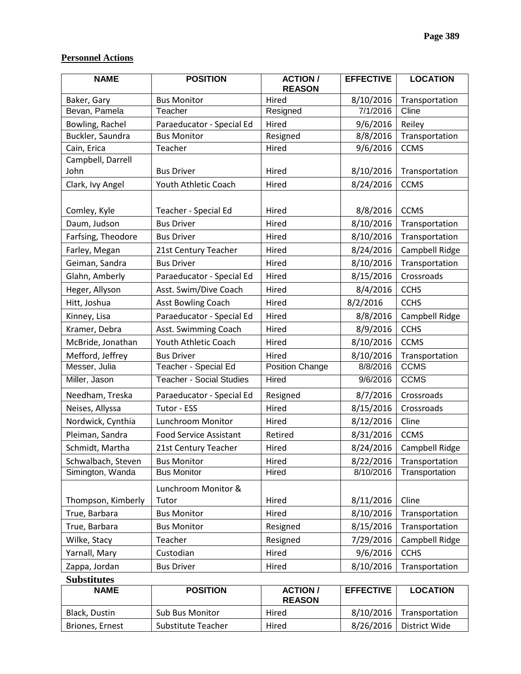## **Personnel Actions**

| <b>NAME</b>        | <b>POSITION</b><br><b>ACTION /</b><br><b>REASON</b> |                 | <b>EFFECTIVE</b> | <b>LOCATION</b> |
|--------------------|-----------------------------------------------------|-----------------|------------------|-----------------|
| Baker, Gary        | <b>Bus Monitor</b>                                  | Hired           | 8/10/2016        | Transportation  |
| Bevan, Pamela      | Teacher                                             | Resigned        | 7/1/2016         | Cline           |
| Bowling, Rachel    | Paraeducator - Special Ed                           | Hired           | 9/6/2016         | Reiley          |
| Buckler, Saundra   | <b>Bus Monitor</b>                                  | Resigned        | 8/8/2016         | Transportation  |
| Cain, Erica        | Teacher                                             | Hired           | 9/6/2016         | <b>CCMS</b>     |
| Campbell, Darrell  |                                                     |                 |                  |                 |
| John               | <b>Bus Driver</b>                                   | Hired           | 8/10/2016        | Transportation  |
| Clark, Ivy Angel   | Youth Athletic Coach                                | Hired           | 8/24/2016        | <b>CCMS</b>     |
| Comley, Kyle       | Teacher - Special Ed                                | Hired           | 8/8/2016         | <b>CCMS</b>     |
| Daum, Judson       | <b>Bus Driver</b>                                   | Hired           | 8/10/2016        | Transportation  |
| Farfsing, Theodore | <b>Bus Driver</b>                                   | Hired           | 8/10/2016        | Transportation  |
| Farley, Megan      | 21st Century Teacher                                | Hired           | 8/24/2016        | Campbell Ridge  |
| Geiman, Sandra     | <b>Bus Driver</b>                                   | Hired           | 8/10/2016        | Transportation  |
| Glahn, Amberly     | Paraeducator - Special Ed                           | Hired           | 8/15/2016        | Crossroads      |
| Heger, Allyson     | Asst. Swim/Dive Coach<br>Hired                      |                 | 8/4/2016         | <b>CCHS</b>     |
| Hitt, Joshua       | <b>Asst Bowling Coach</b>                           | Hired           | 8/2/2016         | <b>CCHS</b>     |
| Kinney, Lisa       | Paraeducator - Special Ed                           | Hired           | 8/8/2016         | Campbell Ridge  |
| Kramer, Debra      | Asst. Swimming Coach                                | Hired           | 8/9/2016         | <b>CCHS</b>     |
| McBride, Jonathan  | Youth Athletic Coach                                | Hired           | 8/10/2016        | <b>CCMS</b>     |
| Mefford, Jeffrey   | <b>Bus Driver</b>                                   | Hired           | 8/10/2016        | Transportation  |
| Messer, Julia      | Teacher - Special Ed                                | Position Change | 8/8/2016         | <b>CCMS</b>     |
| Miller, Jason      | <b>Teacher - Social Studies</b>                     | Hired           | 9/6/2016         | <b>CCMS</b>     |
| Needham, Treska    | Paraeducator - Special Ed                           | Resigned        | 8/7/2016         | Crossroads      |
| Neises, Allyssa    | Tutor - ESS                                         | Hired           | 8/15/2016        | Crossroads      |
| Nordwick, Cynthia  | Lunchroom Monitor                                   | Hired           | 8/12/2016        | Cline           |
| Pleiman, Sandra    | <b>Food Service Assistant</b>                       | Retired         | 8/31/2016        | <b>CCMS</b>     |
| Schmidt, Martha    | 21st Century Teacher                                | Hired           | 8/24/2016        | Campbell Ridge  |
| Schwalbach, Steven | 8/22/2016<br><b>Bus Monitor</b><br>Hired            |                 | Transportation   |                 |
| Simington, Wanda   | <b>Bus Monitor</b>                                  | Hired           | 8/10/2016        | Transportation  |
| Thompson, Kimberly | Lunchroom Monitor &<br>Tutor                        | Hired           | 8/11/2016        | Cline           |
| True, Barbara      | <b>Bus Monitor</b><br>Hired                         |                 | 8/10/2016        | Transportation  |
| True, Barbara      | <b>Bus Monitor</b><br>Resigned                      |                 | 8/15/2016        | Transportation  |
| Wilke, Stacy       | Teacher<br>Resigned                                 |                 | 7/29/2016        | Campbell Ridge  |
| Yarnall, Mary      | 9/6/2016<br>Custodian<br>Hired                      |                 | <b>CCHS</b>      |                 |
| Zappa, Jordan      | <b>Bus Driver</b><br>8/10/2016<br>Hired             |                 | Transportation   |                 |
| <b>Substitutes</b> |                                                     |                 |                  |                 |

| <b>NAME</b>     | <b>POSITION</b>        | <b>ACTION</b><br><b>REASON</b> | <b>EFFECTIVE</b> | <b>LOCATION</b> |
|-----------------|------------------------|--------------------------------|------------------|-----------------|
| Black, Dustin   | <b>Sub Bus Monitor</b> | Hired                          | 8/10/2016        | Transportation  |
| Briones, Ernest | Substitute Teacher     | Hired                          | 8/26/2016        | District Wide   |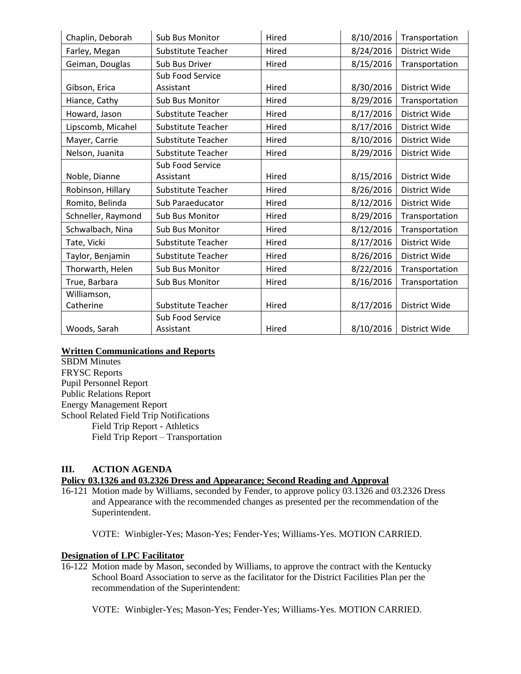| Chaplin, Deborah   | 8/10/2016<br>Hired<br><b>Sub Bus Monitor</b> |                    | Transportation |                      |
|--------------------|----------------------------------------------|--------------------|----------------|----------------------|
| Farley, Megan      | Substitute Teacher                           | Hired              | 8/24/2016      | <b>District Wide</b> |
| Geiman, Douglas    | Sub Bus Driver                               | Hired              | 8/15/2016      | Transportation       |
|                    | Sub Food Service                             |                    |                |                      |
| Gibson, Erica      | Assistant                                    | Hired              | 8/30/2016      | District Wide        |
| Hiance, Cathy      | Sub Bus Monitor                              | 8/29/2016<br>Hired |                | Transportation       |
| Howard, Jason      | <b>Substitute Teacher</b>                    | 8/17/2016<br>Hired |                | <b>District Wide</b> |
| Lipscomb, Micahel  | <b>Substitute Teacher</b>                    | 8/17/2016<br>Hired |                | District Wide        |
| Mayer, Carrie      | <b>Substitute Teacher</b>                    | 8/10/2016<br>Hired |                | <b>District Wide</b> |
| Nelson, Juanita    | Substitute Teacher                           | 8/29/2016<br>Hired |                | District Wide        |
|                    | <b>Sub Food Service</b>                      |                    |                |                      |
| Noble, Dianne      | Assistant                                    | Hired              | 8/15/2016      | District Wide        |
| Robinson, Hillary  | <b>Substitute Teacher</b>                    | Hired              | 8/26/2016      | District Wide        |
| Romito, Belinda    | Sub Paraeducator                             | Hired              | 8/12/2016      | District Wide        |
| Schneller, Raymond | Sub Bus Monitor<br>Hired                     |                    | 8/29/2016      | Transportation       |
| Schwalbach, Nina   | Sub Bus Monitor                              | Hired              | 8/12/2016      | Transportation       |
| Tate, Vicki        | <b>Substitute Teacher</b>                    | 8/17/2016<br>Hired |                | District Wide        |
| Taylor, Benjamin   | Substitute Teacher                           | Hired              | 8/26/2016      | District Wide        |
| Thorwarth, Helen   | Sub Bus Monitor                              | Hired              | 8/22/2016      | Transportation       |
| True, Barbara      | Sub Bus Monitor                              | Hired              | 8/16/2016      | Transportation       |
| Williamson,        |                                              |                    |                |                      |
| Catherine          | <b>Substitute Teacher</b>                    | Hired              | 8/17/2016      | District Wide        |
|                    | Sub Food Service                             |                    |                |                      |
| Woods, Sarah       | Assistant                                    | Hired              | 8/10/2016      | District Wide        |

## **Written Communications and Reports**

SBDM Minutes FRYSC Reports Pupil Personnel Report Public Relations Report Energy Management Report School Related Field Trip Notifications Field Trip Report - Athletics Field Trip Report – Transportation

## **III. ACTION AGENDA**

## **Policy 03.1326 and 03.2326 Dress and Appearance; Second Reading and Approval**

16-121 Motion made by Williams, seconded by Fender, to approve policy 03.1326 and 03.2326 Dress and Appearance with the recommended changes as presented per the recommendation of the Superintendent.

VOTE: Winbigler-Yes; Mason-Yes; Fender-Yes; Williams-Yes. MOTION CARRIED.

#### **Designation of LPC Facilitator**

16-122 Motion made by Mason, seconded by Williams, to approve the contract with the Kentucky School Board Association to serve as the facilitator for the District Facilities Plan per the recommendation of the Superintendent:

VOTE: Winbigler-Yes; Mason-Yes; Fender-Yes; Williams-Yes. MOTION CARRIED.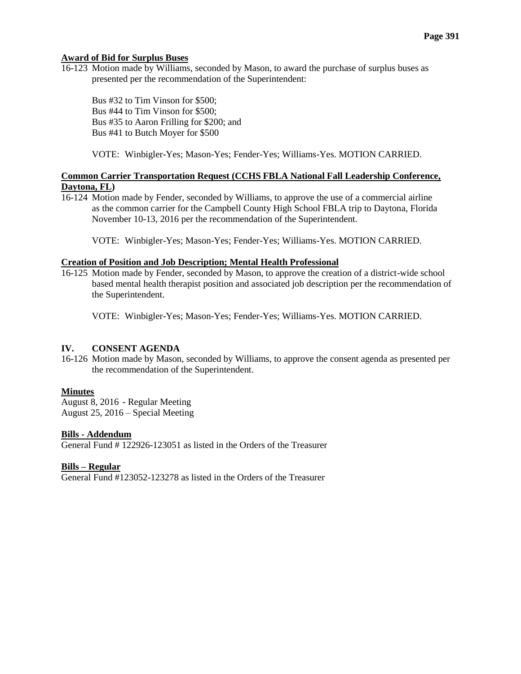#### **Award of Bid for Surplus Buses**

16-123 Motion made by Williams, seconded by Mason, to award the purchase of surplus buses as presented per the recommendation of the Superintendent:

Bus #32 to Tim Vinson for \$500; Bus #44 to Tim Vinson for \$500; Bus #35 to Aaron Frilling for \$200; and Bus #41 to Butch Moyer for \$500

VOTE: Winbigler-Yes; Mason-Yes; Fender-Yes; Williams-Yes. MOTION CARRIED.

## **Common Carrier Transportation Request (CCHS FBLA National Fall Leadership Conference, Daytona, FL)**

16-124 Motion made by Fender, seconded by Williams, to approve the use of a commercial airline as the common carrier for the Campbell County High School FBLA trip to Daytona, Florida November 10-13, 2016 per the recommendation of the Superintendent.

VOTE: Winbigler-Yes; Mason-Yes; Fender-Yes; Williams-Yes. MOTION CARRIED.

#### **Creation of Position and Job Description; Mental Health Professional**

16-125 Motion made by Fender, seconded by Mason, to approve the creation of a district-wide school based mental health therapist position and associated job description per the recommendation of the Superintendent.

VOTE: Winbigler-Yes; Mason-Yes; Fender-Yes; Williams-Yes. MOTION CARRIED.

## **IV. CONSENT AGENDA**

16-126 Motion made by Mason, seconded by Williams, to approve the consent agenda as presented per the recommendation of the Superintendent.

## **Minutes**

August 8, 2016 - Regular Meeting August 25, 2016 – Special Meeting

#### **Bills - Addendum**

General Fund # 122926-123051 as listed in the Orders of the Treasurer

#### **Bills – Regular**

General Fund #123052-123278 as listed in the Orders of the Treasurer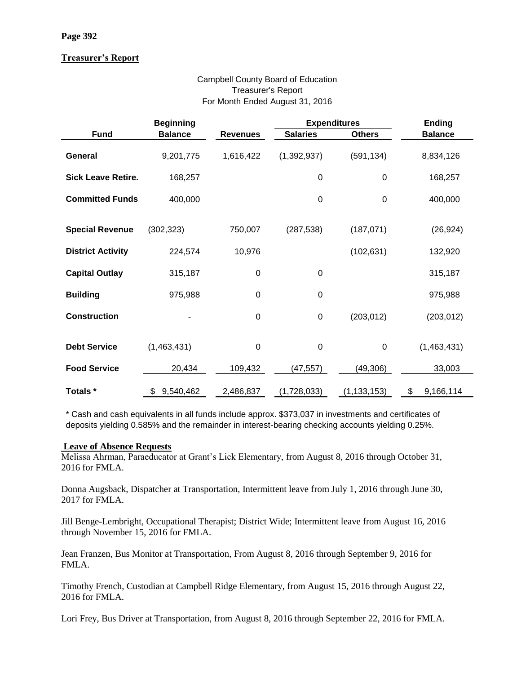## **Treasurer's Report**

## Campbell County Board of Education Treasurer's Report For Month Ended August 31, 2016

|                           | <b>Beginning</b> |                  | <b>Expenditures</b> |                  | <b>Ending</b>   |
|---------------------------|------------------|------------------|---------------------|------------------|-----------------|
| <b>Fund</b>               | <b>Balance</b>   | <b>Revenues</b>  | <b>Salaries</b>     | <b>Others</b>    | <b>Balance</b>  |
| <b>General</b>            | 9,201,775        | 1,616,422        | (1,392,937)         | (591, 134)       | 8,834,126       |
| <b>Sick Leave Retire.</b> | 168,257          |                  | $\mathbf 0$         | $\mathbf 0$      | 168,257         |
| <b>Committed Funds</b>    | 400,000          |                  | $\mathbf 0$         | $\boldsymbol{0}$ | 400,000         |
|                           |                  |                  |                     |                  |                 |
| <b>Special Revenue</b>    | (302, 323)       | 750,007          | (287, 538)          | (187, 071)       | (26, 924)       |
| <b>District Activity</b>  | 224,574          | 10,976           |                     | (102, 631)       | 132,920         |
| <b>Capital Outlay</b>     | 315,187          | $\boldsymbol{0}$ | $\boldsymbol{0}$    |                  | 315,187         |
| <b>Building</b>           | 975,988          | $\boldsymbol{0}$ | $\mathbf 0$         |                  | 975,988         |
| <b>Construction</b>       |                  | $\mathbf 0$      | $\boldsymbol{0}$    | (203, 012)       | (203, 012)      |
| <b>Debt Service</b>       | (1,463,431)      | $\mathbf 0$      | $\boldsymbol{0}$    | $\boldsymbol{0}$ | (1,463,431)     |
|                           |                  |                  |                     |                  |                 |
| <b>Food Service</b>       | 20,434           | 109,432          | (47,557)            | (49,306)         | 33,003          |
| Totals *                  | 9,540,462<br>\$  | 2,486,837        | (1,728,033)         | (1, 133, 153)    | 9,166,114<br>\$ |

\* Cash and cash equivalents in all funds include approx. \$373,037 in investments and certificates of deposits yielding 0.585% and the remainder in interest-bearing checking accounts yielding 0.25%.

## **Leave of Absence Requests**

Melissa Ahrman, Paraeducator at Grant's Lick Elementary, from August 8, 2016 through October 31, 2016 for FMLA.

Donna Augsback, Dispatcher at Transportation, Intermittent leave from July 1, 2016 through June 30, 2017 for FMLA.

Jill Benge-Lembright, Occupational Therapist; District Wide; Intermittent leave from August 16, 2016 through November 15, 2016 for FMLA.

Jean Franzen, Bus Monitor at Transportation, From August 8, 2016 through September 9, 2016 for FMLA.

Timothy French, Custodian at Campbell Ridge Elementary, from August 15, 2016 through August 22, 2016 for FMLA.

Lori Frey, Bus Driver at Transportation, from August 8, 2016 through September 22, 2016 for FMLA.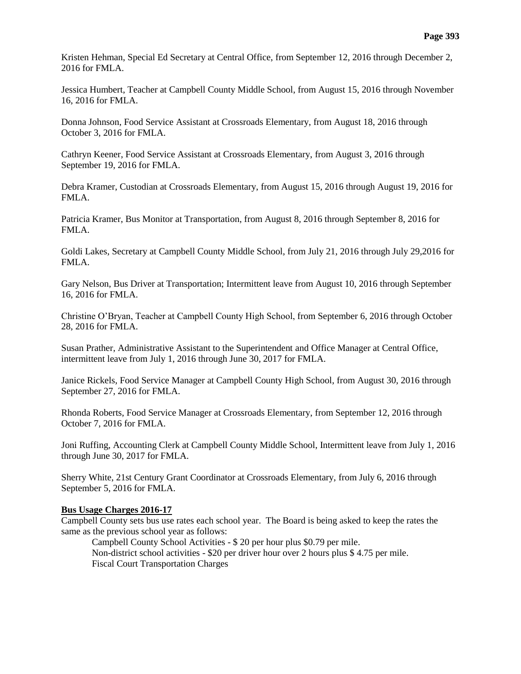Kristen Hehman, Special Ed Secretary at Central Office, from September 12, 2016 through December 2, 2016 for FMLA.

Jessica Humbert, Teacher at Campbell County Middle School, from August 15, 2016 through November 16, 2016 for FMLA.

Donna Johnson, Food Service Assistant at Crossroads Elementary, from August 18, 2016 through October 3, 2016 for FMLA.

Cathryn Keener, Food Service Assistant at Crossroads Elementary, from August 3, 2016 through September 19, 2016 for FMLA.

Debra Kramer, Custodian at Crossroads Elementary, from August 15, 2016 through August 19, 2016 for FMLA.

Patricia Kramer, Bus Monitor at Transportation, from August 8, 2016 through September 8, 2016 for FMLA.

Goldi Lakes, Secretary at Campbell County Middle School, from July 21, 2016 through July 29,2016 for FMLA.

Gary Nelson, Bus Driver at Transportation; Intermittent leave from August 10, 2016 through September 16, 2016 for FMLA.

Christine O'Bryan, Teacher at Campbell County High School, from September 6, 2016 through October 28, 2016 for FMLA.

Susan Prather, Administrative Assistant to the Superintendent and Office Manager at Central Office, intermittent leave from July 1, 2016 through June 30, 2017 for FMLA.

Janice Rickels, Food Service Manager at Campbell County High School, from August 30, 2016 through September 27, 2016 for FMLA.

Rhonda Roberts, Food Service Manager at Crossroads Elementary, from September 12, 2016 through October 7, 2016 for FMLA.

Joni Ruffing, Accounting Clerk at Campbell County Middle School, Intermittent leave from July 1, 2016 through June 30, 2017 for FMLA.

Sherry White, 21st Century Grant Coordinator at Crossroads Elementary, from July 6, 2016 through September 5, 2016 for FMLA.

#### **Bus Usage Charges 2016-17**

Campbell County sets bus use rates each school year. The Board is being asked to keep the rates the same as the previous school year as follows:

Campbell County School Activities - \$ 20 per hour plus \$0.79 per mile. Non-district school activities - \$20 per driver hour over 2 hours plus \$ 4.75 per mile. Fiscal Court Transportation Charges